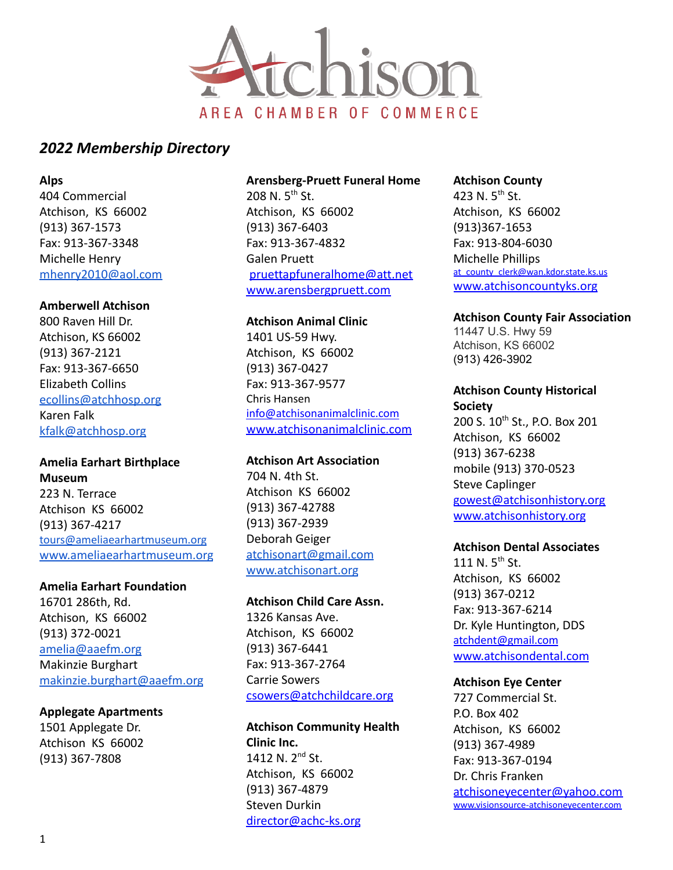

**Alps**

404 Commercial Atchison, KS 66002 (913) 367-1573 Fax: 913-367-3348 Michelle Henry [mhenry2010@aol.com](mailto:mhenry2010@aol.com)

#### **Amberwell Atchison**

800 Raven Hill Dr. Atchison, KS 66002 (913) 367-2121 Fax: 913-367-6650 Elizabeth Collins [ecollins@atchhosp.org](mailto:ecollins@atchhosp.org) Karen Falk [kfalk@atchhosp.org](mailto:kfalk@atchhosp.org)

#### **Amelia Earhart Birthplace Museum**

223 N. Terrace Atchison KS 66002 (913) 367-4217 [tours@ameliaearhartmuseum.org](mailto:tours@ameliaearhartmuseum.org) [www.ameliaearhartmuseum.org](http://www.ameliaearhartmuseum.org)

#### **Amelia Earhart Foundation**

16701 286th, Rd. Atchison, KS 66002 (913) 372-0021 [amelia@aaefm.org](mailto:amelia@aaefm.org) Makinzie Burghart [makinzie.burghart@aaefm.org](mailto:makinzie.burghart@aaefm.org)

#### **Applegate Apartments**

1501 Applegate Dr. Atchison KS 66002 (913) 367-7808

#### **Arensberg-Pruett Funeral Home**

208 N.  $5^{th}$  St. Atchison, KS 66002 (913) 367-6403 Fax: 913-367-4832 Galen Pruett [pruettapfuneralhome@att.net](mailto:pruettapfuneralhome@att.net) [www.arensbergpruett.com](http://www.arensbergpruett.com)

#### **Atchison Animal Clinic**

1401 US-59 Hwy. Atchison, KS 66002 (913) 367-0427 Fax: 913-367-9577 Chris Hansen [info@atchisonanimalclinic.com](mailto:info@atchisonanimalclinic.com) [www.atchisonanimalclinic.com](http://www.atchisonanimalclinic.com)

#### **Atchison Art Association**

704 N. 4th St. Atchison KS 66002 (913) 367-42788 (913) 367-2939 Deborah Geiger [atchisonart@gmail.com](mailto:atchisonart@gmail.com) [www.atchisonart.org](http://www.atchisonart.org)

#### **Atchison Child Care Assn.**

1326 Kansas Ave. Atchison, KS 66002 (913) 367-6441 Fax: 913-367-2764 Carrie Sowers [csowers@atchchildcare.org](mailto:csowers@atchchildcare.org)

# **Atchison Community Health Clinic Inc.** 1412 N. 2<sup>nd</sup> St. Atchison, KS 66002 (913) 367-4879

Steven Durkin [director@achc-ks.org](mailto:director@achc-ks.org)

#### **Atchison County**

423 N. 5<sup>th</sup> St. Atchison, KS 66002 (913)367-1653 Fax: 913-804-6030 Michelle Phillips [at\\_county\\_clerk@wan.kdor.state.ks.us](mailto:at_county_clerk@wan.kdor.state.ks.us) [www.atchisoncountyks.org](http://www.atchisoncountyks.org)

**Atchison County Fair Association** 11447 U.S. Hwy 59

Atchison, KS 66002 (913) 426-3902

# **Atchison County Historical Society** 200 S. 10th St., P.O. Box 201 Atchison, KS 66002 (913) 367-6238 mobile (913) 370-0523 Steve Caplinger [gowest@atchisonhistory.org](mailto:gowest@atchisonhistory.org)

[www.atchisonhistory.org](http://www.atchisonhistory.org)

#### **Atchison Dental Associates**

111 N.  $5^{th}$  St. Atchison, KS 66002 (913) 367-0212 Fax: 913-367-6214 Dr. Kyle Huntington, DDS [atchdent@gmail.com](mailto:atchdent@gmail.com) [www.atchisondental.com](http://www.atchisondental.com)

#### **Atchison Eye Center**

727 Commercial St. P.O. Box 402 Atchison, KS 66002 (913) 367-4989 Fax: 913-367-0194 Dr. Chris Franken [atchisoneyecenter@yahoo.com](mailto:atchisoneyecenter@yahoo.com) [www.visionsource-atchisoneyecenter.com](http://www.visionsource-atchisoneyecenter.com)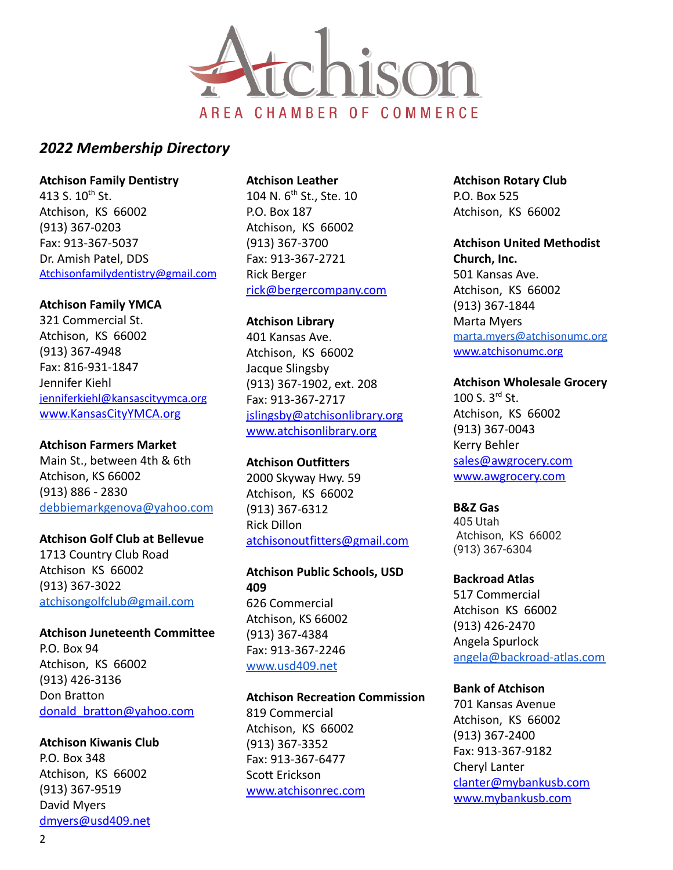

**Atchison Family Dentistry**

413 S.  $10^{th}$  St. Atchison, KS 66002 (913) 367-0203 Fax: 913-367-5037 Dr. Amish Patel, DDS [Atchisonfamilydentistry@gmail.com](mailto:Atchisonfamilydentistry@gmail.com)

### **Atchison Family YMCA**

321 Commercial St. Atchison, KS 66002 (913) 367-4948 Fax: 816-931-1847 Jennifer Kiehl [jenniferkiehl@kansascityymca.org](mailto:jenniferkiehl@kansascityymca.org) [www.KansasCityYMCA.org](http://www.kansascityymca.org)

#### **Atchison Farmers Market**

Main St., between 4th & 6th Atchison, KS 66002 (913) 886 - 2830 [debbiemarkgenova@yahoo.com](mailto:debbiemarkgenova@yahoo.com)

#### **Atchison Golf Club at Bellevue**

1713 Country Club Road Atchison KS 66002 (913) 367-3022 [atchisongolfclub@gmail.com](mailto:atchisongolfclub@gmail.com)

**Atchison Juneteenth Committee** P.O. Box 94 Atchison, KS 66002 (913) 426-3136 Don Bratton [donald\\_bratton@yahoo.com](mailto:donald_bratton@yahoo.com)

#### **Atchison Kiwanis Club**

P.O. Box 348 Atchison, KS 66002 (913) 367-9519 David Myers [dmyers@usd409.net](mailto:dmyers@usd409.net)

#### **Atchison Leather**

104 N. 6<sup>th</sup> St., Ste. 10 P.O. Box 187 Atchison, KS 66002 (913) 367-3700 Fax: 913-367-2721 Rick Berger [rick@bergercompany.com](mailto:rick@bergercompany.com)

#### **Atchison Library**

401 Kansas Ave. Atchison, KS 66002 Jacque Slingsby (913) 367-1902, ext. 208 Fax: 913-367-2717 [jslingsby@atchisonlibrary.org](mailto:jslingsby@atchisonlibrary.org) [www.atchisonlibrary.org](http://www.atchisonlibrary.org)

#### **Atchison Outfitters**

2000 Skyway Hwy. 59 Atchison, KS 66002 (913) 367-6312 Rick Dillon [atchisonoutfitters@gmail.com](mailto:atchisonoutfitters@gmail.com)

**Atchison Public Schools, USD 409** 626 Commercial Atchison, KS 66002 (913) 367-4384 Fax: 913-367-2246 [www.usd409.net](http://www.usd409.net)

#### **Atchison Recreation Commission**

819 Commercial Atchison, KS 66002 (913) 367-3352 Fax: 913-367-6477 Scott Erickson [www.atchisonrec.com](http://www.atchisonrec.com) **Atchison Rotary Club** P.O. Box 525 Atchison, KS 66002

**Atchison United Methodist Church, Inc.** 501 Kansas Ave. Atchison, KS 66002 (913) 367-1844 Marta Myers [marta.myers@atchisonumc.org](mailto:marta.myers@atchisonunmc.org) [www.atchisonumc.org](http://www.atchisonumc.org)

### **Atchison Wholesale Grocery**

100 S. 3rd St. Atchison, KS 66002 (913) 367-0043 Kerry Behler [sales@awgrocery.com](mailto:sales@awgrocery.com) [www.awgrocery.com](http://www.awgrocery.com)

#### **B&Z Gas**

405 Utah Atchison, KS 66002 (913) 367-6304

**Backroad Atlas** 517 Commercial Atchison KS 66002 (913) 426-2470 Angela Spurlock [angela@backroad-atlas.com](mailto:angela@backroad-atlas.com)

#### **Bank of Atchison**

701 Kansas Avenue Atchison, KS 66002 (913) 367-2400 Fax: 913-367-9182 Cheryl Lanter [clanter@mybankusb.com](mailto:clanter@mybankusb.com) [www.mybankusb.com](http://www.mybankusb.com)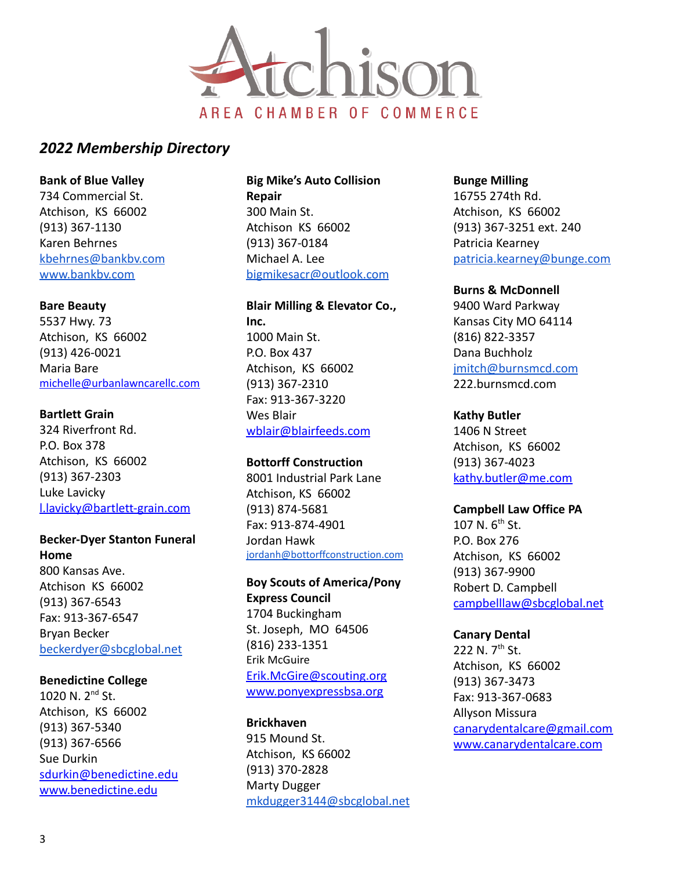

#### **Bank of Blue Valley**

734 Commercial St. Atchison, KS 66002 (913) 367-1130 Karen Behrnes [kbehrnes@bankbv.com](mailto:kbehrnes@banbv.com) [www.bankbv.com](http://www.bankbv.com)

#### **Bare Beauty**

5537 Hwy. 73 Atchison, KS 66002 (913) 426-0021 Maria Bare [michelle@urbanlawncarellc.com](mailto:michelle@urbanlawncarellc.com)

#### **Bartlett Grain**

324 Riverfront Rd. P.O. Box 378 Atchison, KS 66002 (913) 367-2303 Luke Lavicky [l.lavicky@bartlett-grain.com](mailto:l.lavicky@bartlett-grain.com)

#### **Becker-Dyer Stanton Funeral Home**

800 Kansas Ave. Atchison KS 66002 (913) 367-6543 Fax: 913-367-6547 Bryan Becker [beckerdyer@sbcglobal.net](mailto:beckerdyer@sbcglobal.net)

#### **Benedictine College**

1020 N. 2nd St. Atchison, KS 66002 (913) 367-5340 (913) 367-6566 Sue Durkin [sdurkin@benedictine.edu](mailto:sdurkin@benedictine.edu) [www.benedictine.edu](http://www.benedictine.edu)

**Big Mike's Auto Collision Repair** 300 Main St. Atchison KS 66002 (913) 367-0184 Michael A. Lee [bigmikesacr@outlook.com](mailto:bigmikesacr@outlook.com)

# **Blair Milling & Elevator Co., Inc.** 1000 Main St.

P.O. Box 437 Atchison, KS 66002 (913) 367-2310 Fax: 913-367-3220 Wes Blair [wblair@blairfeeds.com](mailto:wblair@blairfeeds.com)

#### **Bottorff Construction**

8001 Industrial Park Lane Atchison, KS 66002 (913) 874-5681 Fax: 913-874-4901 Jordan Hawk [jordanh@bottorffconstruction.com](mailto:jordanh@bottorffconstruction.com)

# **Boy Scouts of America/Pony Express Council** 1704 Buckingham St. Joseph, MO 64506 (816) 233-1351 Erik McGuire [Erik.McGire@scouting.org](mailto:Erik.McGire@scouting.org)

[www.ponyexpressbsa.org](http://www.ponyexpressbsa.org)

#### **Brickhaven**

915 Mound St. Atchison, KS 66002 (913) 370-2828 Marty Dugger [mkdugger3144@sbcglobal.net](mailto:mkdugger3144@sbcglobal.net) **Bunge Milling** 16755 274th Rd. Atchison, KS 66002 (913) 367-3251 ext. 240 Patricia Kearney [patricia.kearney@bunge.com](mailto:patricia.kearney@bunge.com)

#### **Burns & McDonnell**

9400 Ward Parkway Kansas City MO 64114 (816) 822-3357 Dana Buchholz [jmitch@burnsmcd.com](mailto:jmitch@burnsmcd.com) 222.burnsmcd.com

#### **Kathy Butler**

1406 N Street Atchison, KS 66002 (913) 367-4023 [kathy.butler@me.com](mailto:kathy.butler@me.com)

# **Campbell Law Office PA**

107 N.  $6^{th}$  St. P.O. Box 276 Atchison, KS 66002 (913) 367-9900 Robert D. Campbell [campbelllaw@sbcglobal.net](mailto:campbelllaw@sbcglobal.net)

#### **Canary Dental**

222 N.  $7^{th}$  St. Atchison, KS 66002 (913) 367-3473 Fax: 913-367-0683 Allyson Missura [canarydentalcare@gmail.com](mailto:canarydentalcare@gmail.com) [www.canarydentalcare.com](http://www.canarydentalcare.com)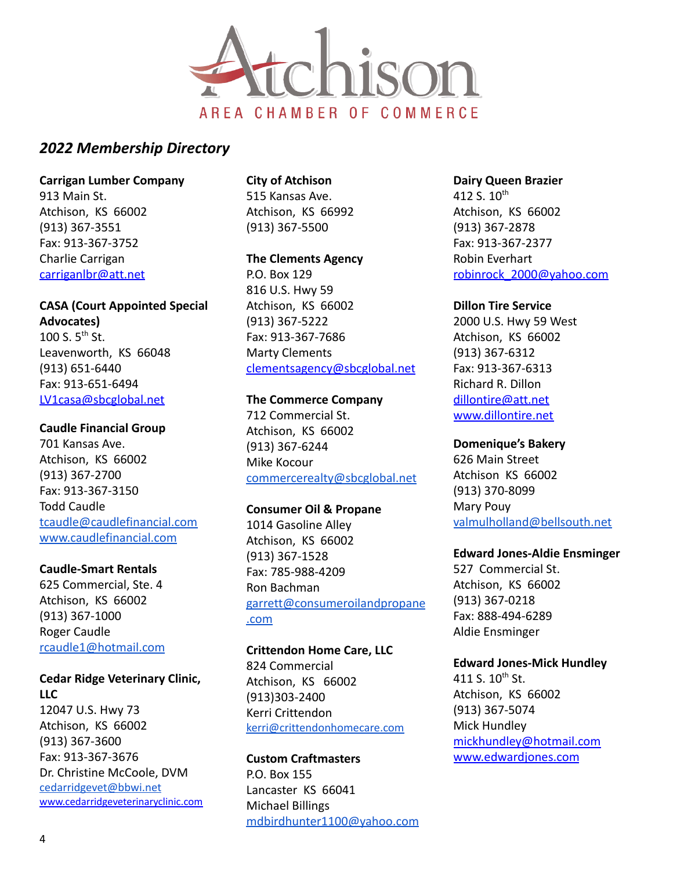

**Carrigan Lumber Company** 913 Main St. Atchison, KS 66002 (913) 367-3551 Fax: 913-367-3752 Charlie Carrigan [carriganlbr@att.net](mailto:carriganlbr@att.net)

#### **CASA (Court Appointed Special**

**Advocates)** 100 S. 5<sup>th</sup> St. Leavenworth, KS 66048 (913) 651-6440 Fax: 913-651-6494 [LV1casa@sbcglobal.net](mailto:LV1casa@sbcglobal.net)

#### **Caudle Financial Group**

701 Kansas Ave. Atchison, KS 66002 (913) 367-2700 Fax: 913-367-3150 Todd Caudle [tcaudle@caudlefinancial.com](mailto:tcaudle@caudlefinancial.com) [www.caudlefinancial.com](http://www.caudlefinancial.com)

#### **Caudle-Smart Rentals**

625 Commercial, Ste. 4 Atchison, KS 66002 (913) 367-1000 Roger Caudle [rcaudle1@hotmail.com](mailto:rcaudle1@hotmail.com)

# **Cedar Ridge Veterinary Clinic, LLC**

12047 U.S. Hwy 73 Atchison, KS 66002 (913) 367-3600 Fax: 913-367-3676 Dr. Christine McCoole, DVM [cedarridgevet@bbwi.net](mailto:cedarridgevet@bbwi.net) [www.cedarridgeveterinaryclinic.com](http://www.cedarridgeveterinaryclinic.com) **City of Atchison** 515 Kansas Ave. Atchison, KS 66992 (913) 367-5500

#### **The Clements Agency**

P.O. Box 129 816 U.S. Hwy 59 Atchison, KS 66002 (913) 367-5222 Fax: 913-367-7686 Marty Clements [clementsagency@sbcglobal.net](mailto:clementsagency@sbcglobal.net)

#### **The Commerce Company** 712 Commercial St.

Atchison, KS 66002 (913) 367-6244 Mike Kocour [commercerealty@sbcglobal.net](mailto:commercerealty@sbcglobal.net)

#### **Consumer Oil & Propane**

1014 Gasoline Alley Atchison, KS 66002 (913) 367-1528 Fax: 785-988-4209 Ron Bachman [garrett@consumeroilandpropane](mailto:garrett@consumeroilandpropane.com) [.com](mailto:garrett@consumeroilandpropane.com)

**Crittendon Home Care, LLC** 824 Commercial Atchison, KS 66002 (913)303-2400 Kerri Crittendon [kerri@crittendonhomecare.com](mailto:kerri@crittendonhomecare.com)

# **Custom Craftmasters**

P.O. Box 155 Lancaster KS 66041 Michael Billings [mdbirdhunter1100@yahoo.com](mailto:mdbirdhunter1100@yahoo.com) **Dairy Queen Brazier** 412 S.  $10^{th}$ Atchison, KS 66002 (913) 367-2878 Fax: 913-367-2377 Robin Everhart [robinrock\\_2000@yahoo.com](mailto:robinrock_2000@yahoo.com)

### **Dillon Tire Service**

2000 U.S. Hwy 59 West Atchison, KS 66002 (913) 367-6312 Fax: 913-367-6313 Richard R. Dillon [dillontire@att.net](mailto:dillontire@att.net) [www.dillontire.net](http://www.dillontire.net)

#### **Domenique's Bakery**

626 Main Street Atchison KS 66002 (913) 370-8099 Mary Pouy [valmulholland@bellsouth.net](mailto:valmulholland@bellsouth.net)

#### **Edward Jones-Aldie Ensminger**

527 Commercial St. Atchison, KS 66002 (913) 367-0218 Fax: 888-494-6289 Aldie Ensminger

#### **Edward Jones-Mick Hundley**

411 S.  $10^{th}$  St. Atchison, KS 66002 (913) 367-5074 Mick Hundley [mickhundley@hotmail.com](mailto:mickhundley@hotmail.com) [www.edwardjones.com](http://www.edwardjones.com)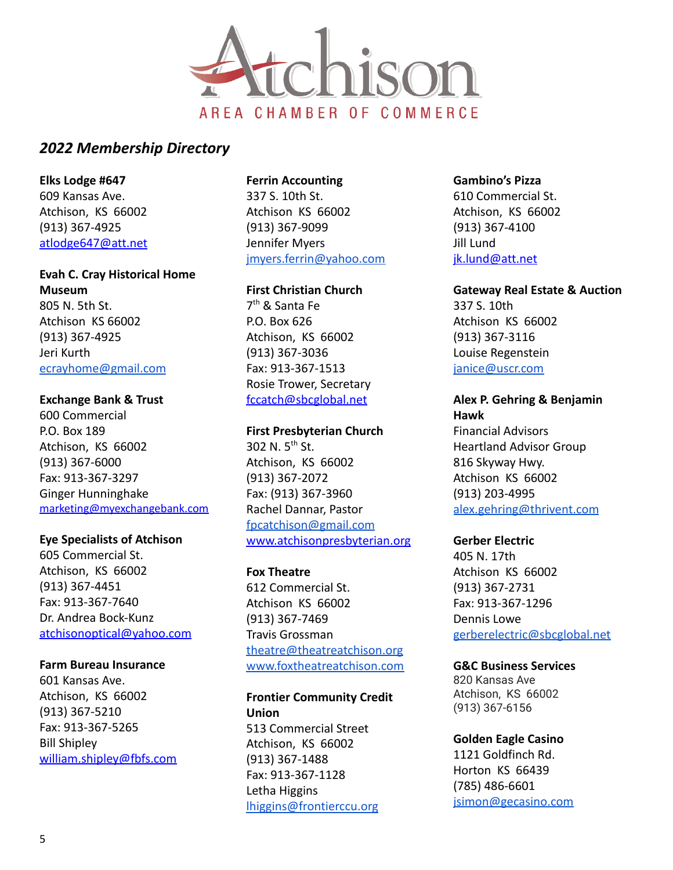

**Elks Lodge #647** 609 Kansas Ave. Atchison, KS 66002 (913) 367-4925 [atlodge647@att.net](mailto:atlodge647@att.net)

# **Evah C. Cray Historical Home Museum** 805 N. 5th St. Atchison KS 66002 (913) 367-4925 Jeri Kurth [ecrayhome@gmail.com](mailto:ecrayhome@gmail.com)

#### **Exchange Bank & Trust**

600 Commercial P.O. Box 189 Atchison, KS 66002 (913) 367-6000 Fax: 913-367-3297 Ginger Hunninghake [marketing@myexchangebank.com](mailto:marketing@myexchangebank.com)

#### **Eye Specialists of Atchison**

605 Commercial St. Atchison, KS 66002 (913) 367-4451 Fax: 913-367-7640 Dr. Andrea Bock-Kunz [atchisonoptical@yahoo.com](mailto:atchisonoptical@yahoo.com)

#### **Farm Bureau Insurance**

601 Kansas Ave. Atchison, KS 66002 (913) 367-5210 Fax: 913-367-5265 Bill Shipley [william.shipley@fbfs.com](mailto:william.shipley@fbfs.com)

# **Ferrin Accounting**

337 S. 10th St. Atchison KS 66002 (913) 367-9099 Jennifer Myers [jmyers.ferrin@yahoo.com](mailto:jmyers.ferrin@yahoo.com)

#### **First Christian Church**

7 th & Santa Fe P.O. Box 626 Atchison, KS 66002 (913) 367-3036 Fax: 913-367-1513 Rosie Trower, Secretary [fccatch@sbcglobal.net](mailto:fccatch@sbcglobal.net)

#### **First Presbyterian Church**

302 N.  $5^{th}$  St. Atchison, KS 66002 (913) 367-2072 Fax: (913) 367-3960 Rachel Dannar, Pastor [fpcatchison@gmail.com](mailto:fpcatchison@gmail.com) [www.atchisonpresbyterian.org](http://www.atchisonpresbyterian.org)

#### **Fox Theatre**

612 Commercial St. Atchison KS 66002 (913) 367-7469 Travis Grossman [theatre@theatreatchison.org](mailto:theatre@theatreatchison.org) [www.foxtheatreatchison.com](http://www.foxtheatreatchison.com)

### **Frontier Community Credit Union**

513 Commercial Street Atchison, KS 66002 (913) 367-1488 Fax: 913-367-1128 Letha Higgins [lhiggins@frontierccu.org](mailto:lhiggins@frontierccu.org)

### **Gambino's Pizza**

610 Commercial St. Atchison, KS 66002 (913) 367-4100 Jill Lund [jk.lund@att.net](mailto:jk.lund@att.net)

#### **Gateway Real Estate & Auction**

337 S. 10th Atchison KS 66002 (913) 367-3116 Louise Regenstein [janice@uscr.com](mailto:janice@uscr.com)

#### **Alex P. Gehring & Benjamin Hawk**

Financial Advisors Heartland Advisor Group 816 Skyway Hwy. Atchison KS 66002 (913) 203-4995 [alex.gehring@thrivent.com](mailto:alex.gehring@thrivent.com)

#### **Gerber Electric**

405 N. 17th Atchison KS 66002 (913) 367-2731 Fax: 913-367-1296 Dennis Lowe [gerberelectric@sbcglobal.net](mailto:gerberelectric@sbcglobal.net)

#### **G&C Business Services**

820 Kansas Ave Atchison, KS 66002 (913) 367-6156

#### **Golden Eagle Casino**

1121 Goldfinch Rd. Horton KS 66439 (785) 486-6601 [jsimon@gecasino.com](mailto:jsimon@gecasino.com)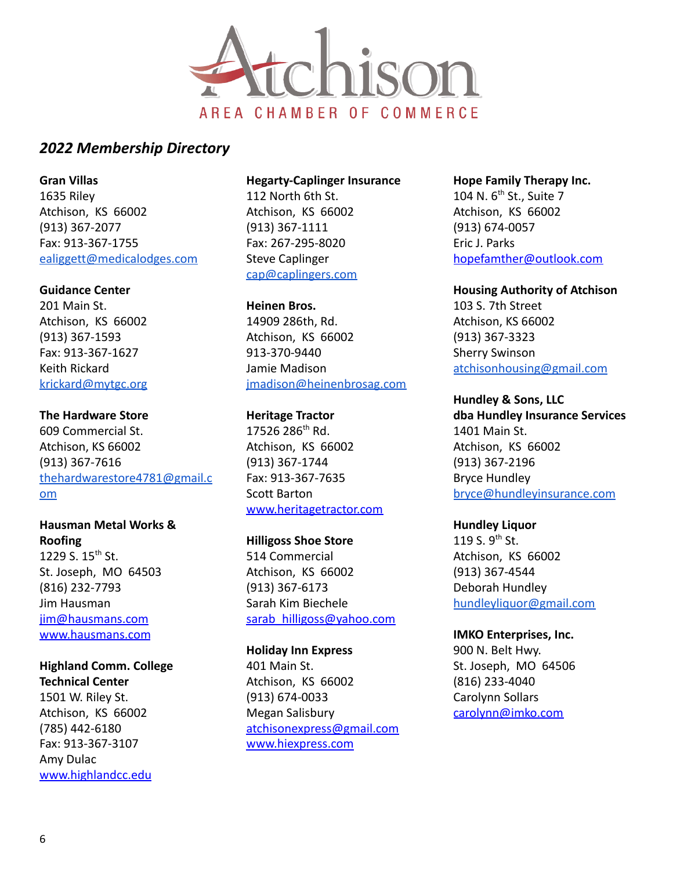

**Gran Villas** 1635 Riley Atchison, KS 66002 (913) 367-2077 Fax: 913-367-1755 [ealiggett@medicalodges.com](mailto:ealiggett@medicalodges.com)

#### **Guidance Center**

201 Main St. Atchison, KS 66002 (913) 367-1593 Fax: 913-367-1627 Keith Rickard [krickard@mytgc.org](mailto:krickard@mytgc.org)

**The Hardware Store** 609 Commercial St. Atchison, KS 66002 (913) 367-7616 [thehardwarestore4781@gmail.c](mailto:thehardwarestore4781@gmail.com) [om](mailto:thehardwarestore4781@gmail.com)

**Hausman Metal Works & Roofing** 1229 S.  $15^{th}$  St. St. Joseph, MO 64503 (816) 232-7793 Jim Hausman [jim@hausmans.com](mailto:jim@hausmans.com) [www.hausmans.com](http://www.hausmans.com)

#### **Highland Comm. College Technical Center**

1501 W. Riley St. Atchison, KS 66002 (785) 442-6180 Fax: 913-367-3107 Amy Dulac [www.highlandcc.edu](http://www.highlandcc.edu)

#### **Hegarty-Caplinger Insurance**

112 North 6th St. Atchison, KS 66002 (913) 367-1111 Fax: 267-295-8020 Steve Caplinger [cap@caplingers.com](mailto:cap@caplingers.com)

**Heinen Bros.** 14909 286th, Rd. Atchison, KS 66002 913-370-9440 Jamie Madison [jmadison@heinenbrosag.com](mailto:jmadison@heinenbrosag.com)

**Heritage Tractor** 17526 286th Rd. Atchison, KS 66002 (913) 367-1744 Fax: 913-367-7635 Scott Barton [www.heritagetractor.com](http://www.heritagetractor.com)

**Hilligoss Shoe Store**

514 Commercial Atchison, KS 66002 (913) 367-6173 Sarah Kim Biechele [sarab\\_hilligoss@yahoo.com](mailto:sarab_hilligoss@yahoo.com)

**Holiday Inn Express** 401 Main St. Atchison, KS 66002 (913) 674-0033 Megan Salisbury [atchisonexpress@gmail.com](mailto:atchisonexpress@gmail.com) [www.hiexpress.com](http://www.hiexpress.com)

**Hope Family Therapy Inc.** 104 N. 6<sup>th</sup> St., Suite 7 Atchison, KS 66002 (913) 674-0057 Eric J. Parks [hopefamther@outlook.com](mailto:hopefamther@outlook.com)

**Housing Authority of Atchison**

103 S. 7th Street Atchison, KS 66002 (913) 367-3323 Sherry Swinson [atchisonhousing@gmail.com](mailto:atchisonhousing@gmail.com)

**Hundley & Sons, LLC**

**dba Hundley Insurance Services** 1401 Main St. Atchison, KS 66002 (913) 367-2196 Bryce Hundley [bryce@hundleyinsurance.com](mailto:bryce@hundleyinsurance.com)

### **Hundley Liquor**

119 S.  $9^{th}$  St. Atchison, KS 66002 (913) 367-4544 Deborah Hundley [hundleyliquor@gmail.com](mailto:hundleyliquor@gmail.com)

**IMKO Enterprises, Inc.** 900 N. Belt Hwy. St. Joseph, MO 64506 (816) 233-4040 Carolynn Sollars [carolynn@imko.com](mailto:carolynn@imko.com)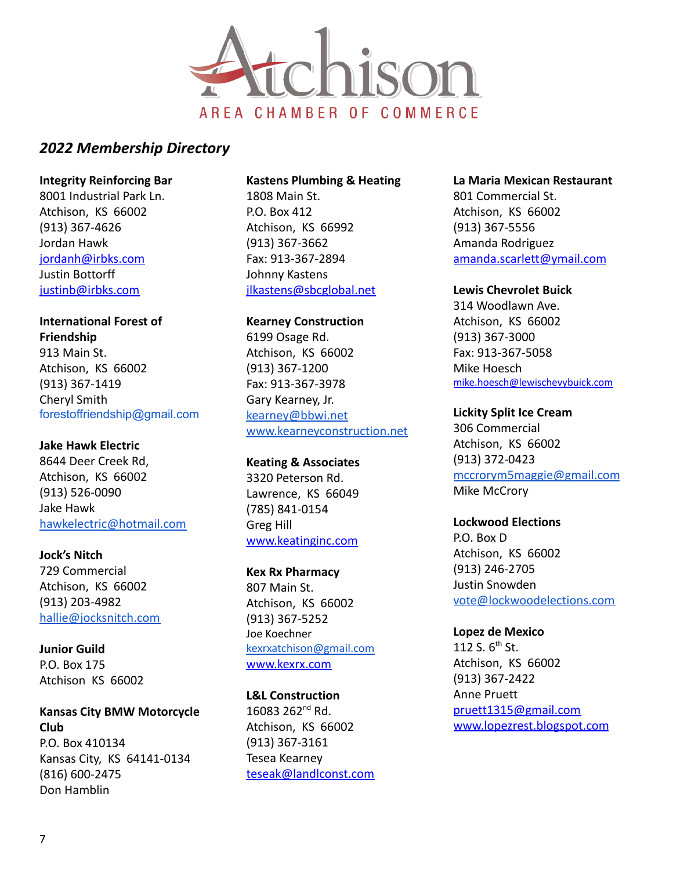

#### **Integrity Reinforcing Bar**

8001 Industrial Park Ln. Atchison, KS 66002 (913) 367-4626 Jordan Hawk [jordanh@irbks.com](mailto:jordanh@irbks.com) Justin Bottorff [justinb@irbks.com](mailto:justinb@irbks.com)

# **International Forest of Friendship**

913 Main St. Atchison, KS 66002 (913) 367-1419 Cheryl Smith forestoffriendship@gmail.com

# **Jake Hawk Electric**

8644 Deer Creek Rd, Atchison, KS 66002 (913) 526-0090 Jake Hawk [hawkelectric@hotmail.com](mailto:hawkelectric@hotmail.com)

**Jock's Nitch** 729 Commercial Atchison, KS 66002 (913) 203-4982 [hallie@jocksnitch.com](mailto:hallie@jocksnitch.com)

**Junior Guild** P.O. Box 175 Atchison KS 66002

Don Hamblin

# **Kansas City BMW Motorcycle Club** P.O. Box 410134 Kansas City, KS 64141-0134 (816) 600-2475

#### **Kastens Plumbing & Heating**

1808 Main St. P.O. Box 412 Atchison, KS 66992 (913) 367-3662 Fax: 913-367-2894 Johnny Kastens [jlkastens@sbcglobal.net](mailto:jlkastens@sbcglobal.net)

**Kearney Construction** 6199 Osage Rd. Atchison, KS 66002 (913) 367-1200 Fax: 913-367-3978 Gary Kearney, Jr. [kearney@bbwi.net](mailto:kearney@bbwi.net) [www.kearneyconstruction.net](http://www.kearneyconstruction.net)

**Keating & Associates** 3320 Peterson Rd. Lawrence, KS 66049 (785) 841-0154 Greg Hill [www.keatinginc.com](http://www.keatinginc.com)

**Kex Rx Pharmacy** 807 Main St. Atchison, KS 66002 (913) 367-5252 Joe Koechner [kexrxatchison@gmail.com](mailto:kexrxatchison@gmail.com) [www.kexrx.com](http://www.kexrx.com)

**L&L Construction** 16083 262nd Rd. Atchison, KS 66002 (913) 367-3161 Tesea Kearney [teseak@landlconst.com](mailto:teseak@landlconst.com)

#### **La Maria Mexican Restaurant**

801 Commercial St. Atchison, KS 66002 (913) 367-5556 Amanda Rodriguez [amanda.scarlett@ymail.com](mailto:amanda.scarlett@ymail.com)

#### **Lewis Chevrolet Buick**

314 Woodlawn Ave. Atchison, KS 66002 (913) 367-3000 Fax: 913-367-5058 Mike Hoesch [mike.hoesch@lewischevybuick.com](mailto:mike.hoesch@lewischevybuick.com)

#### **Lickity Split Ice Cream**

306 Commercial Atchison, KS 66002 (913) 372-0423 [mccrorym5maggie@gmail.com](mailto:mccrorym5maggie@gmail.com) Mike McCrory

**Lockwood Elections** P.O. Box D Atchison, KS 66002

(913) 246-2705 Justin Snowden [vote@lockwoodelections.com](mailto:vote@lockwoodelections.com)

**Lopez de Mexico** 112 S.  $6^{th}$  St. Atchison, KS 66002 (913) 367-2422 Anne Pruett [pruett1315@gmail.com](mailto:pruett1315@gmail.com) [www.lopezrest.blogspot.com](http://www.lopezrest.blogspot.com)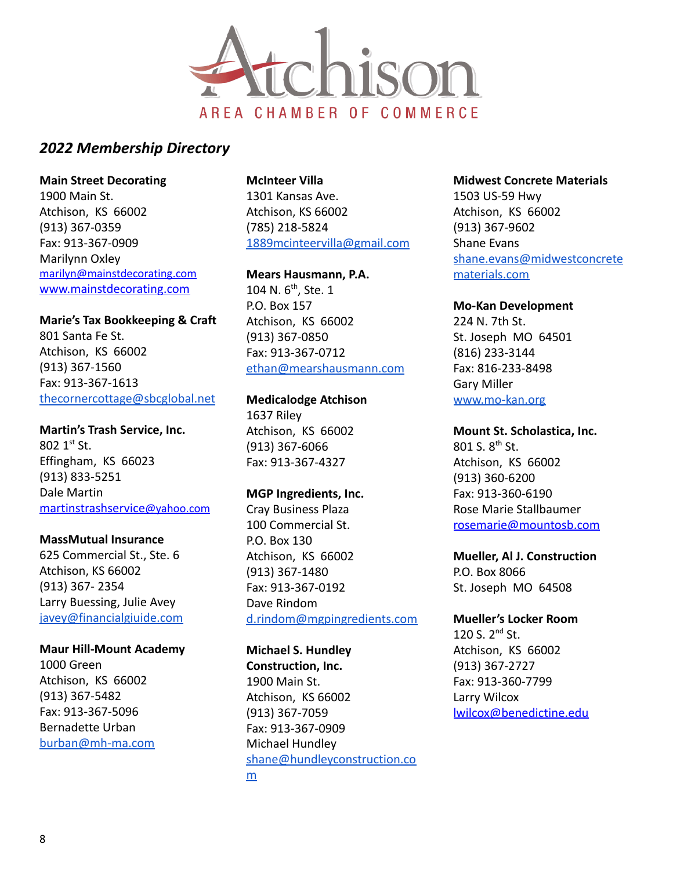

**Main Street Decorating** 1900 Main St. Atchison, KS 66002 (913) 367-0359 Fax: 913-367-0909 Marilynn Oxley [marilyn@mainstdecorating.com](mailto:marilyn@mainstdecorating.com) [www.mainstdecorating.com](http://www.mainstdecorating.com)

**Marie's Tax Bookkeeping & Craft** 801 Santa Fe St. Atchison, KS 66002 (913) 367-1560 Fax: 913-367-1613 [thecornercottage@sbcglobal.net](mailto:thecornercottage@sbcglobal.net)

**Martin's Trash Service, Inc.**  $802 \; 1^{st} \; St.$ Effingham, KS 66023 (913) 833-5251 Dale Martin [martinstrashservice](mailto:martinstrashservice@yahoo.com)@yahoo.com

#### **MassMutual Insurance**

625 Commercial St., Ste. 6 Atchison, KS 66002 (913) 367- 2354 Larry Buessing, Julie Avey [javey@financialgiuide.com](mailto:javey@financialgiuide.com)

#### **Maur Hill-Mount Academy**

1000 Green Atchison, KS 66002 (913) 367-5482 Fax: 913-367-5096 Bernadette Urban [burban@mh-ma.com](mailto:burban@mh-ma.com)

# **McInteer Villa**

1301 Kansas Ave. Atchison, KS 66002 (785) 218-5824 [1889mcinteervilla@gmail.com](mailto:1889mcinteervilla@gmail.com)

#### **Mears Hausmann, P.A.**

104 N.  $6^{th}$ , Ste. 1 P.O. Box 157 Atchison, KS 66002 (913) 367-0850 Fax: 913-367-0712 [ethan@mearshausmann.com](mailto:ethan@mearshausmann.com)

# **Medicalodge Atchison**

1637 Riley Atchison, KS 66002 (913) 367-6066 Fax: 913-367-4327

#### **MGP Ingredients, Inc.**

Cray Business Plaza 100 Commercial St. P.O. Box 130 Atchison, KS 66002 (913) 367-1480 Fax: 913-367-0192 Dave Rindom [d.rindom@mgpingredients.com](mailto:d.rindom@mgpingredients.com)

**Michael S. Hundley Construction, Inc.** 1900 Main St. Atchison, KS 66002 (913) 367-7059 Fax: 913-367-0909 Michael Hundley [shane@hundleyconstruction.co](mailto:shane@hundleyconstruction.com) [m](mailto:shane@hundleyconstruction.com)

#### **Midwest Concrete Materials**

1503 US-59 Hwy Atchison, KS 66002 (913) 367-9602 Shane Evans [shane.evans@midwestconcrete](mailto:shane.evans@midwestconcretematerials.com) [materials.com](mailto:shane.evans@midwestconcretematerials.com)

#### **Mo-Kan Development**

224 N. 7th St. St. Joseph MO 64501 (816) 233-3144 Fax: 816-233-8498 Gary Miller [www.mo-kan.org](http://www.mo-kan.org)

#### **Mount St. Scholastica, Inc.**

801 S. 8<sup>th</sup> St. Atchison, KS 66002 (913) 360-6200 Fax: 913-360-6190 Rose Marie Stallbaumer [rosemarie@mountosb.com](mailto:rosemarie@mountosb.com)

# **Mueller, Al J. Construction** P.O. Box 8066

St. Joseph MO 64508

#### **Mueller's Locker Room**

120 S. 2nd St. Atchison, KS 66002 (913) 367-2727 Fax: 913-360-7799 Larry Wilcox [lwilcox@benedictine.edu](mailto:lwilcox@benedictine.edu)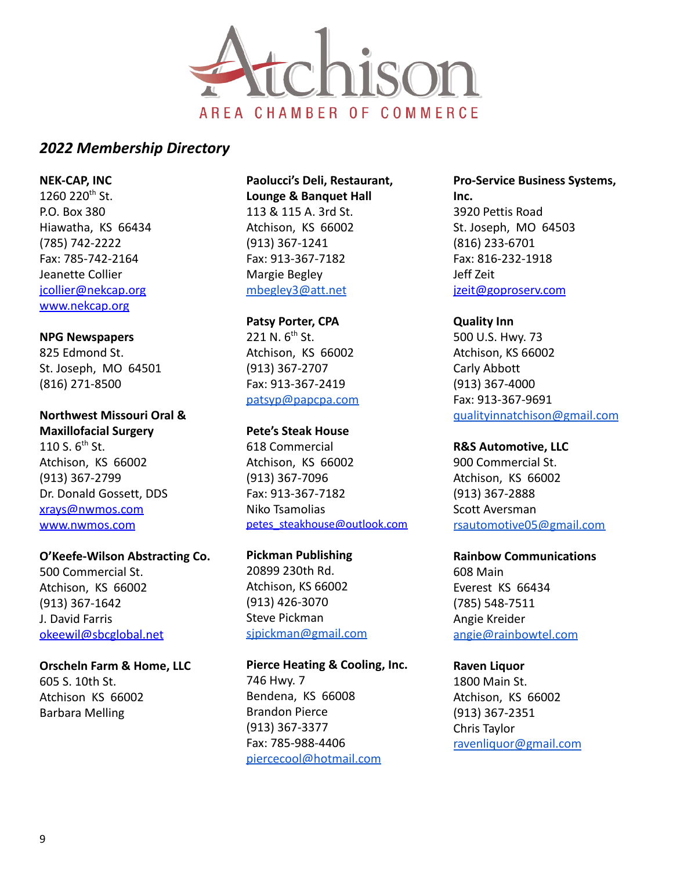

**NEK-CAP, INC**

1260 220<sup>th</sup> St. P.O. Box 380 Hiawatha, KS 66434 (785) 742-2222 Fax: 785-742-2164 Jeanette Collier [jcollier@nekcap.org](mailto:jcollier@nekcap.org) [www.nekcap.org](http://www.nekcap.org)

**NPG Newspapers**

825 Edmond St. St. Joseph, MO 64501 (816) 271-8500

**Northwest Missouri Oral & Maxillofacial Surgery** 110 S.  $6^{th}$  St. Atchison, KS 66002 (913) 367-2799 Dr. Donald Gossett, DDS [xrays@nwmos.com](mailto:xrays@nwmos.com) [www.nwmos.com](http://www.nwmos.com)

**O'Keefe-Wilson Abstracting Co.** 500 Commercial St. Atchison, KS 66002 (913) 367-1642 J. David Farris [okeewil@sbcglobal.net](mailto:okeewil@sbcglobal.net)

**Orscheln Farm & Home, LLC** 605 S. 10th St. Atchison KS 66002 Barbara Melling

**Paolucci's Deli, Restaurant, Lounge & Banquet Hall** 113 & 115 A. 3rd St. Atchison, KS 66002 (913) 367-1241 Fax: 913-367-7182 Margie Begley [mbegley3@att.net](mailto:mbegley3@att.net)

**Patsy Porter, CPA** 221 N.  $6^{th}$  St. Atchison, KS 66002 (913) 367-2707 Fax: 913-367-2419 [patsyp@papcpa.com](mailto:patsyp@papcpa.com)

**Pete's Steak House** 618 Commercial Atchison, KS 66002 (913) 367-7096 Fax: 913-367-7182 Niko Tsamolias [petes\\_steakhouse@outlook.com](mailto:petes_steakhouse@outlook.com)

**Pickman Publishing** 20899 230th Rd. Atchison, KS 66002 (913) 426-3070 Steve Pickman [sjpickman@gmail.com](mailto:sjpickman@gmail.com)

**Pierce Heating & Cooling, Inc.** 746 Hwy. 7 Bendena, KS 66008 Brandon Pierce (913) 367-3377 Fax: 785-988-4406 [piercecool@hotmail.com](mailto:piercecool@hotmail.com)

**Pro-Service Business Systems, Inc.** 3920 Pettis Road St. Joseph, MO 64503 (816) 233-6701 Fax: 816-232-1918 Jeff Zeit [jzeit@goproserv.com](mailto:jzeit@goproserv.com)

**Quality Inn** 500 U.S. Hwy. 73 Atchison, KS 66002 Carly Abbott (913) 367-4000 Fax: 913-367-9691 [qualityinnatchison@gmail.com](mailto:qualityinnatchison@gmail.com)

**R&S Automotive, LLC** 900 Commercial St. Atchison, KS 66002 (913) 367-2888 Scott Aversman [rsautomotive05@gmail.com](mailto:rsautomotive05@gmail.com)

**Rainbow Communications** 608 Main Everest KS 66434 (785) 548-7511 Angie Kreider [angie@rainbowtel.com](mailto:angie@rainbowtel.com)

# **Raven Liquor**

1800 Main St. Atchison, KS 66002 (913) 367-2351 Chris Taylor [ravenliquor@gmail.com](mailto:ravenliquor@gmail.com)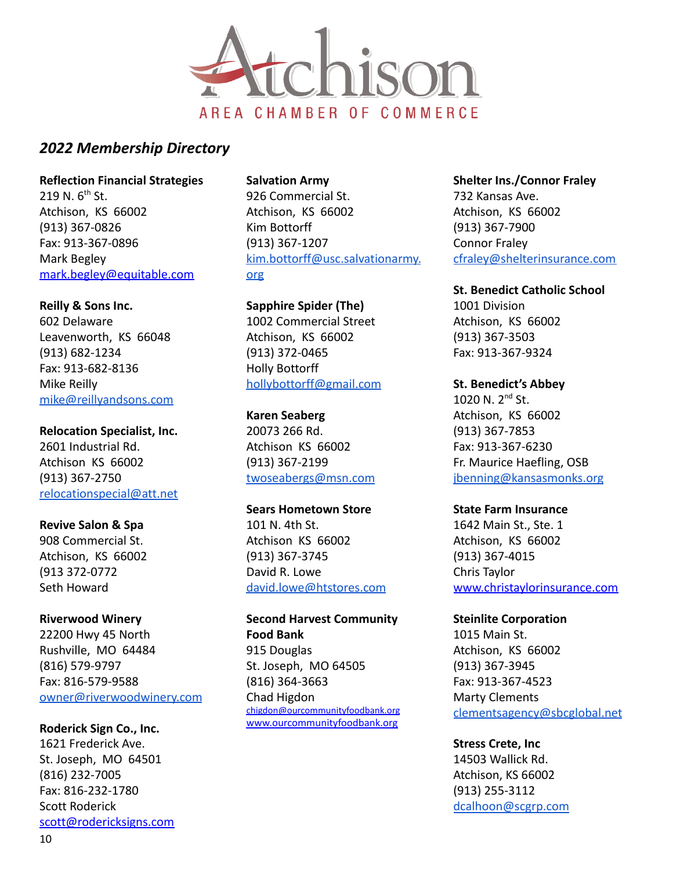

**Reflection Financial Strategies** 219 N.  $6^{th}$  St. Atchison, KS 66002 (913) 367-0826 Fax: 913-367-0896 Mark Begley [mark.begley@equitable.com](mailto:mark.begley@equitable.com)

**Reilly & Sons Inc.** 602 Delaware Leavenworth, KS 66048 (913) 682-1234 Fax: 913-682-8136 Mike Reilly [mike@reillyandsons.com](mailto:mike@reillyandsons.com)

**Relocation Specialist, Inc.** 2601 Industrial Rd. Atchison KS 66002 (913) 367-2750 [relocationspecial@att.net](mailto:relocationspecial@att.net)

**Revive Salon & Spa** 908 Commercial St. Atchison, KS 66002 (913 372-0772 Seth Howard

**Riverwood Winery** 22200 Hwy 45 North Rushville, MO 64484 (816) 579-9797 Fax: 816-579-9588 [owner@riverwoodwinery.com](mailto:owner@riverwoodwinery.com)

**Roderick Sign Co., Inc.** 1621 Frederick Ave. St. Joseph, MO 64501 (816) 232-7005 Fax: 816-232-1780 Scott Roderick [scott@rodericksigns.com](mailto:scott@rodericksigns.com) **Salvation Army**

926 Commercial St. Atchison, KS 66002 Kim Bottorff (913) 367-1207 [kim.bottorff@usc.salvationarmy.](mailto:kim.bottorff@usc.salvationarmy.org) [org](mailto:kim.bottorff@usc.salvationarmy.org)

**Sapphire Spider (The)** 1002 Commercial Street Atchison, KS 66002 (913) 372-0465 Holly Bottorff [hollybottorff@gmail.com](mailto:hollybottorff@gmail.com)

**Karen Seaberg** 20073 266 Rd. Atchison KS 66002 (913) 367-2199 [twoseabergs@msn.com](mailto:twoseabergs@msn.com)

**Sears Hometown Store** 101 N. 4th St. Atchison KS 66002 (913) 367-3745 David R. Lowe [david.lowe@htstores.com](mailto:david.lowe@htstores.com)

**Second Harvest Community Food Bank** 915 Douglas St. Joseph, MO 64505 (816) 364-3663 Chad Higdon [chigdon@ourcommunityfoodbank.org](mailto:chigdon@ourcommunityfoodbank.org) [www.ourcommunityfoodbank.org](http://www.ourcommunityfoodbank.org)

**Shelter Ins./Connor Fraley** 732 Kansas Ave. Atchison, KS 66002 (913) 367-7900 Connor Fraley [cfraley@shelterinsurance.com](mailto:cfraley@shelterinsurance.com)

**St. Benedict Catholic School** 1001 Division

Atchison, KS 66002 (913) 367-3503 Fax: 913-367-9324

**St. Benedict's Abbey** 1020 N. 2nd St. Atchison, KS 66002 (913) 367-7853 Fax: 913-367-6230 Fr. Maurice Haefling, OSB [jbenning@kansasmonks.org](mailto:jbenning@kansasmonks.org)

**State Farm Insurance** 1642 Main St., Ste. 1 Atchison, KS 66002 (913) 367-4015 Chris Taylor [www.christaylorinsurance.com](http://www.christaylorinsurance.com)

**Steinlite Corporation** 1015 Main St. Atchison, KS 66002 (913) 367-3945 Fax: 913-367-4523 Marty Clements [clementsagency@sbcglobal.net](mailto:clementsagency@sbcglobal.net)

**Stress Crete, Inc** 14503 Wallick Rd. Atchison, KS 66002 (913) 255-3112 [dcalhoon@scgrp.com](mailto:dcalhoon@scgrp.com)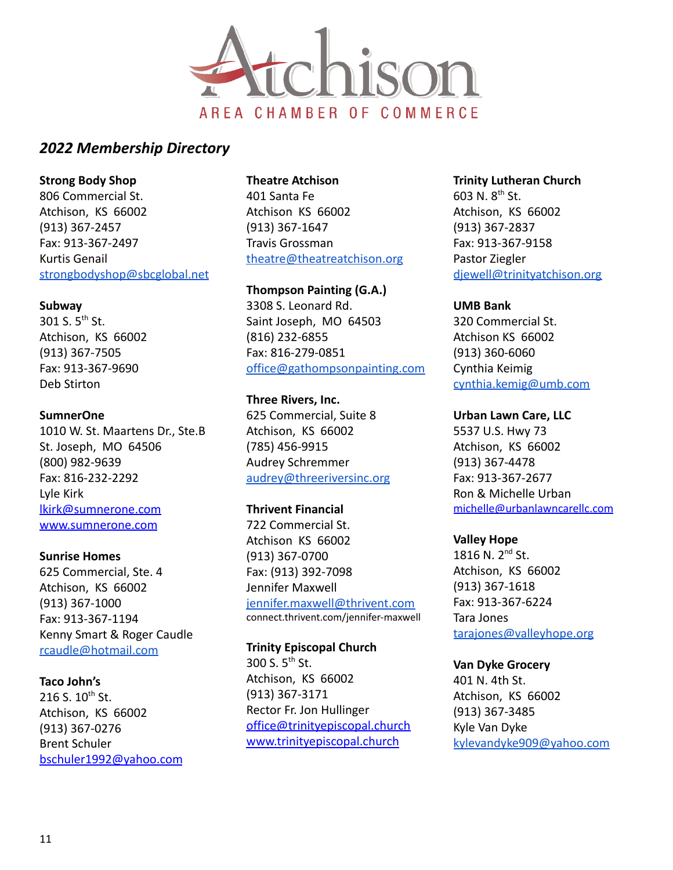

**Strong Body Shop** 806 Commercial St. Atchison, KS 66002 (913) 367-2457 Fax: 913-367-2497 Kurtis Genail [strongbodyshop@sbcglobal.net](mailto:strongbodyshop@sbcglobal.net)

#### **Subway**

301 S.  $5^{th}$  St. Atchison, KS 66002 (913) 367-7505 Fax: 913-367-9690 Deb Stirton

#### **SumnerOne**

1010 W. St. Maartens Dr., Ste.B St. Joseph, MO 64506 (800) 982-9639 Fax: 816-232-2292 Lyle Kirk [lkirk@sumnerone.com](mailto:lkirk@sumnerone.com) [www.sumnerone.com](http://www.sumnerone.com)

#### **Sunrise Homes**

625 Commercial, Ste. 4 Atchison, KS 66002 (913) 367-1000 Fax: 913-367-1194 Kenny Smart & Roger Caudle [rcaudle@hotmail.com](mailto:rcaudle@hotmail.com)

#### **Taco John's**

216 S.  $10^{th}$  St. Atchison, KS 66002 (913) 367-0276 Brent Schuler [bschuler1992@yahoo.com](mailto:bschuler1992@yahoo.com)

# **Theatre Atchison**

401 Santa Fe Atchison KS 66002 (913) 367-1647 Travis Grossman [theatre@theatreatchison.org](mailto:theatre@theatreatchison.org)

**Thompson Painting (G.A.)** 3308 S. Leonard Rd. Saint Joseph, MO 64503 (816) 232-6855 Fax: 816-279-0851 [office@gathompsonpainting.com](mailto:office@gathompsonpainting.com)

**Three Rivers, Inc.** 625 Commercial, Suite 8 Atchison, KS 66002 (785) 456-9915 Audrey Schremmer [audrey@threeriversinc.org](mailto:audrey@threeriversinc.org)

#### **Thrivent Financial**

722 Commercial St. Atchison KS 66002 (913) 367-0700 Fax: (913) 392-7098 Jennifer Maxwell [jennifer.maxwell@thrivent.com](mailto:jennifer.maxwell@thrivent.com) connect.thrivent.com/jennifer-maxwell

**Trinity Episcopal Church** 300 S.  $5^{th}$  St. Atchison, KS 66002 (913) 367-3171 Rector Fr. Jon Hullinger [office@trinityepiscopal.church](mailto:office@trinityepiscopal.church) [www.trinityepiscopal.church](http://www.trinityepiscopal.church)

# **Trinity Lutheran Church** 603 N. 8th St. Atchison, KS 66002 (913) 367-2837 Fax: 913-367-9158 Pastor Ziegler [djewell@trinityatchison.org](mailto:djewell@trinityatchison.org)

#### **UMB Bank**

320 Commercial St. Atchison KS 66002 (913) 360-6060 Cynthia Keimig [cynthia.kemig@umb.com](mailto:cynthia.kemig@umb.com)

#### **Urban Lawn Care, LLC**

5537 U.S. Hwy 73 Atchison, KS 66002 (913) 367-4478 Fax: 913-367-2677 Ron & Michelle Urban [michelle@urbanlawncarellc.com](mailto:michelle@urbanlawncarellc.com)

#### **Valley Hope**

1816 N. 2nd St. Atchison, KS 66002 (913) 367-1618 Fax: 913-367-6224 Tara Jones [tarajones@valleyhope.org](mailto:tarajones@valleyhope.org)

#### **Van Dyke Grocery**

401 N. 4th St. Atchison, KS 66002 (913) 367-3485 Kyle Van Dyke [kylevandyke909@yahoo.com](mailto:kylevandyke909@yahoo.com)